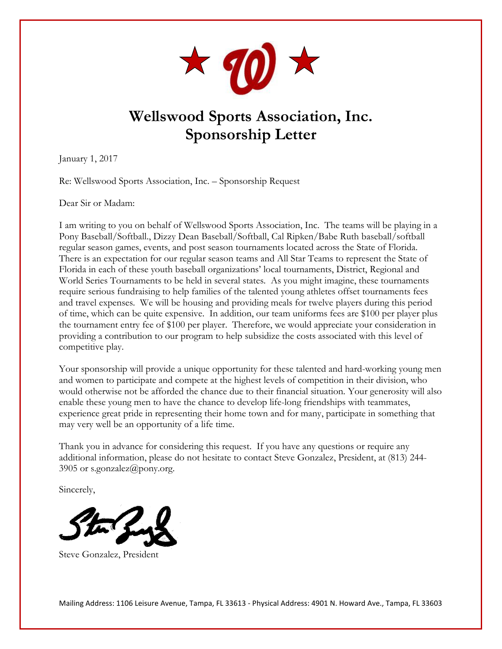

## **Wellswood Sports Association, Inc. Sponsorship Letter**

January 1, 2017

Re: Wellswood Sports Association, Inc. – Sponsorship Request

Dear Sir or Madam:

I am writing to you on behalf of Wellswood Sports Association, Inc. The teams will be playing in a Pony Baseball/Softball., Dizzy Dean Baseball/Softball, Cal Ripken/Babe Ruth baseball/softball regular season games, events, and post season tournaments located across the State of Florida. There is an expectation for our regular season teams and All Star Teams to represent the State of Florida in each of these youth baseball organizations' local tournaments, District, Regional and World Series Tournaments to be held in several states. As you might imagine, these tournaments require serious fundraising to help families of the talented young athletes offset tournaments fees and travel expenses. We will be housing and providing meals for twelve players during this period of time, which can be quite expensive. In addition, our team uniforms fees are \$100 per player plus the tournament entry fee of \$100 per player. Therefore, we would appreciate your consideration in providing a contribution to our program to help subsidize the costs associated with this level of competitive play.

Your sponsorship will provide a unique opportunity for these talented and hard-working young men and women to participate and compete at the highest levels of competition in their division, who would otherwise not be afforded the chance due to their financial situation. Your generosity will also enable these young men to have the chance to develop life-long friendships with teammates, experience great pride in representing their home town and for many, participate in something that may very well be an opportunity of a life time.

Thank you in advance for considering this request. If you have any questions or require any additional information, please do not hesitate to contact Steve Gonzalez, President, at (813) 244 3905 or [s.gonzalez@pony.org.](mailto:s.gonzalez@pony.org)

Sincerely,



Steve Gonzalez, President

Mailing Address: 1106 Leisure Avenue, Tampa, FL 33613 - Physical Address: 4901 N. Howard Ave., Tampa, FL 33603